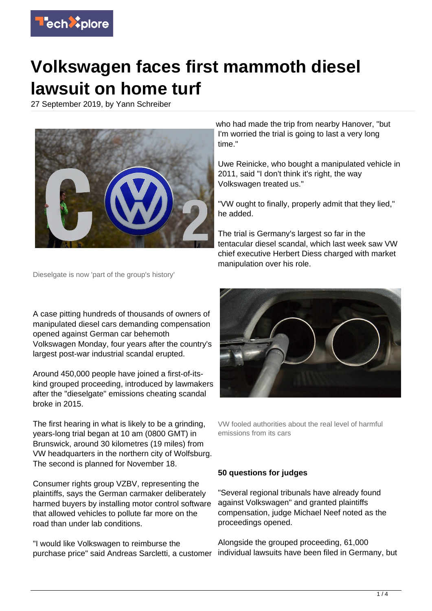

## **Volkswagen faces first mammoth diesel lawsuit on home turf**

27 September 2019, by Yann Schreiber



who had made the trip from nearby Hanover, "but I'm worried the trial is going to last a very long time."

Uwe Reinicke, who bought a manipulated vehicle in 2011, said "I don't think it's right, the way Volkswagen treated us."

"VW ought to finally, properly admit that they lied," he added.

The trial is Germany's largest so far in the tentacular diesel scandal, which last week saw VW chief executive Herbert Diess charged with market manipulation over his role.

Dieselgate is now 'part of the group's history'

A case pitting hundreds of thousands of owners of manipulated diesel cars demanding compensation opened against German car behemoth Volkswagen Monday, four years after the country's largest post-war industrial scandal erupted.

Around 450,000 people have joined a first-of-itskind grouped proceeding, introduced by lawmakers after the "dieselgate" emissions cheating scandal broke in 2015.

The first hearing in what is likely to be a grinding, years-long trial began at 10 am (0800 GMT) in Brunswick, around 30 kilometres (19 miles) from VW headquarters in the northern city of Wolfsburg. The second is planned for November 18.

Consumer rights group VZBV, representing the plaintiffs, says the German carmaker deliberately harmed buyers by installing motor control software that allowed vehicles to pollute far more on the road than under lab conditions.

"I would like Volkswagen to reimburse the purchase price" said Andreas Sarcletti, a customer



VW fooled authorities about the real level of harmful emissions from its cars

## **50 questions for judges**

"Several regional tribunals have already found against Volkswagen" and granted plaintiffs compensation, judge Michael Neef noted as the proceedings opened.

Alongside the grouped proceeding, 61,000 individual lawsuits have been filed in Germany, but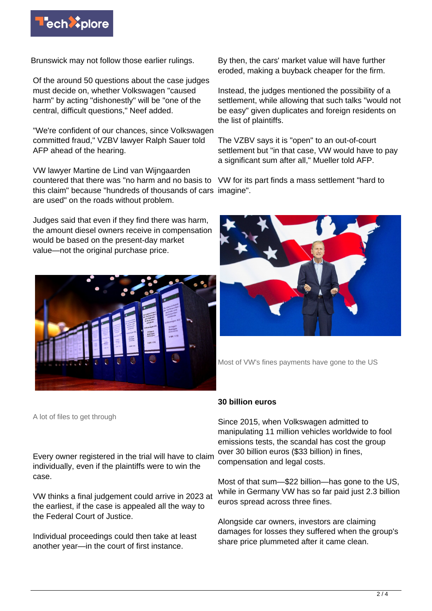

Brunswick may not follow those earlier rulings.

Of the around 50 questions about the case judges must decide on, whether Volkswagen "caused harm" by acting "dishonestly" will be "one of the central, difficult questions," Neef added.

"We're confident of our chances, since Volkswagen committed fraud," VZBV lawyer Ralph Sauer told AFP ahead of the hearing.

VW lawyer Martine de Lind van Wijngaarden countered that there was "no harm and no basis to this claim" because "hundreds of thousands of cars imagine". are used" on the roads without problem.

Judges said that even if they find there was harm, the amount diesel owners receive in compensation would be based on the present-day market value—not the original purchase price.



A lot of files to get through

Every owner registered in the trial will have to claim individually, even if the plaintiffs were to win the case.

VW thinks a final judgement could arrive in 2023 at the earliest, if the case is appealed all the way to the Federal Court of Justice.

Individual proceedings could then take at least another year—in the court of first instance.

By then, the cars' market value will have further eroded, making a buyback cheaper for the firm.

Instead, the judges mentioned the possibility of a settlement, while allowing that such talks "would not be easy" given duplicates and foreign residents on the list of plaintiffs.

The VZBV says it is "open" to an out-of-court settlement but "in that case, VW would have to pay a significant sum after all," Mueller told AFP.

VW for its part finds a mass settlement "hard to



Most of VW's fines payments have gone to the US

## **30 billion euros**

Since 2015, when Volkswagen admitted to manipulating 11 million vehicles worldwide to fool emissions tests, the scandal has cost the group over 30 billion euros (\$33 billion) in fines, compensation and legal costs.

Most of that sum—\$22 billion—has gone to the US, while in Germany VW has so far paid just 2.3 billion euros spread across three fines.

Alongside car owners, investors are claiming damages for losses they suffered when the group's share price plummeted after it came clean.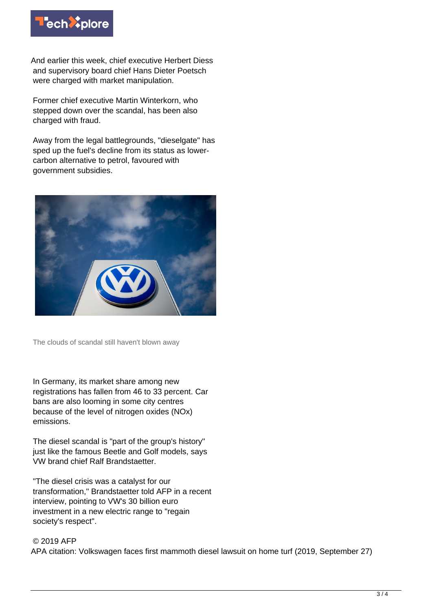

And earlier this week, chief executive Herbert Diess and supervisory board chief Hans Dieter Poetsch were charged with market manipulation.

Former chief executive Martin Winterkorn, who stepped down over the scandal, has been also charged with fraud.

Away from the legal battlegrounds, "dieselgate" has sped up the fuel's decline from its status as lowercarbon alternative to petrol, favoured with government subsidies.



The clouds of scandal still haven't blown away

In Germany, its market share among new registrations has fallen from 46 to 33 percent. Car bans are also looming in some city centres because of the level of nitrogen oxides (NOx) emissions.

The diesel scandal is "part of the group's history" just like the famous Beetle and Golf models, says VW brand chief Ralf Brandstaetter.

"The diesel crisis was a catalyst for our transformation," Brandstaetter told AFP in a recent interview, pointing to VW's 30 billion euro investment in a new electric range to "regain society's respect".

## © 2019 AFP

APA citation: Volkswagen faces first mammoth diesel lawsuit on home turf (2019, September 27)